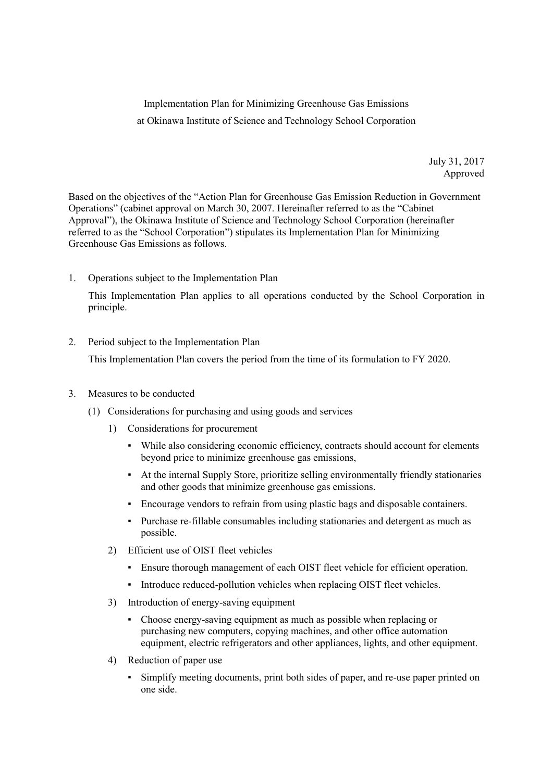Implementation Plan for Minimizing Greenhouse Gas Emissions at Okinawa Institute of Science and Technology School Corporation

> July 31, 2017 Approved

Based on the objectives of the "Action Plan for Greenhouse Gas Emission Reduction in Government Operations" (cabinet approval on March 30, 2007. Hereinafter referred to as the "Cabinet Approval"), the Okinawa Institute of Science and Technology School Corporation (hereinafter referred to as the "School Corporation") stipulates its Implementation Plan for Minimizing Greenhouse Gas Emissions as follows.

1. Operations subject to the Implementation Plan

This Implementation Plan applies to all operations conducted by the School Corporation in principle.

2. Period subject to the Implementation Plan

This Implementation Plan covers the period from the time of its formulation to FY 2020.

- 3. Measures to be conducted
	- (1) Considerations for purchasing and using goods and services
		- 1) Considerations for procurement
			- While also considering economic efficiency, contracts should account for elements beyond price to minimize greenhouse gas emissions,
			- At the internal Supply Store, prioritize selling environmentally friendly stationaries and other goods that minimize greenhouse gas emissions.
			- Encourage vendors to refrain from using plastic bags and disposable containers.
			- Purchase re-fillable consumables including stationaries and detergent as much as possible.
		- 2) Efficient use of OIST fleet vehicles
			- Ensure thorough management of each OIST fleet vehicle for efficient operation.
			- Introduce reduced-pollution vehicles when replacing OIST fleet vehicles.
		- 3) Introduction of energy-saving equipment
			- Choose energy-saving equipment as much as possible when replacing or purchasing new computers, copying machines, and other office automation equipment, electric refrigerators and other appliances, lights, and other equipment.
		- 4) Reduction of paper use
			- Simplify meeting documents, print both sides of paper, and re-use paper printed on one side.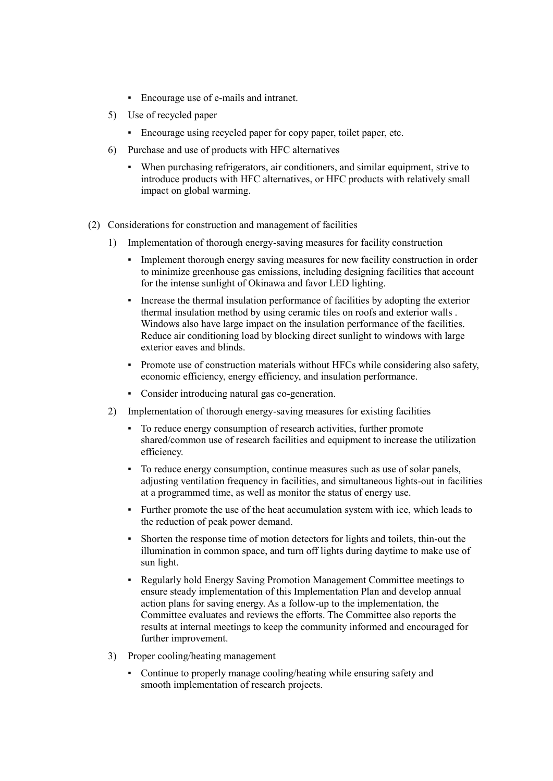- Encourage use of e-mails and intranet.
- 5) Use of recycled paper
	- Encourage using recycled paper for copy paper, toilet paper, etc.
- 6) Purchase and use of products with HFC alternatives
	- When purchasing refrigerators, air conditioners, and similar equipment, strive to introduce products with HFC alternatives, or HFC products with relatively small impact on global warming.
- (2) Considerations for construction and management of facilities
	- 1) Implementation of thorough energy-saving measures for facility construction
		- Implement thorough energy saving measures for new facility construction in order to minimize greenhouse gas emissions, including designing facilities that account for the intense sunlight of Okinawa and favor LED lighting.
		- Increase the thermal insulation performance of facilities by adopting the exterior thermal insulation method by using ceramic tiles on roofs and exterior walls . Windows also have large impact on the insulation performance of the facilities. Reduce air conditioning load by blocking direct sunlight to windows with large exterior eaves and blinds.
		- Promote use of construction materials without HFCs while considering also safety, economic efficiency, energy efficiency, and insulation performance.
		- Consider introducing natural gas co-generation.
	- 2) Implementation of thorough energy-saving measures for existing facilities
		- To reduce energy consumption of research activities, further promote shared/common use of research facilities and equipment to increase the utilization efficiency.
		- To reduce energy consumption, continue measures such as use of solar panels, adjusting ventilation frequency in facilities, and simultaneous lights-out in facilities at a programmed time, as well as monitor the status of energy use.
		- Further promote the use of the heat accumulation system with ice, which leads to the reduction of peak power demand.
		- Shorten the response time of motion detectors for lights and toilets, thin-out the illumination in common space, and turn off lights during daytime to make use of sun light.
		- Regularly hold Energy Saving Promotion Management Committee meetings to ensure steady implementation of this Implementation Plan and develop annual action plans for saving energy. As a follow-up to the implementation, the Committee evaluates and reviews the efforts. The Committee also reports the results at internal meetings to keep the community informed and encouraged for further improvement.
	- 3) Proper cooling/heating management
		- Continue to properly manage cooling/heating while ensuring safety and smooth implementation of research projects.